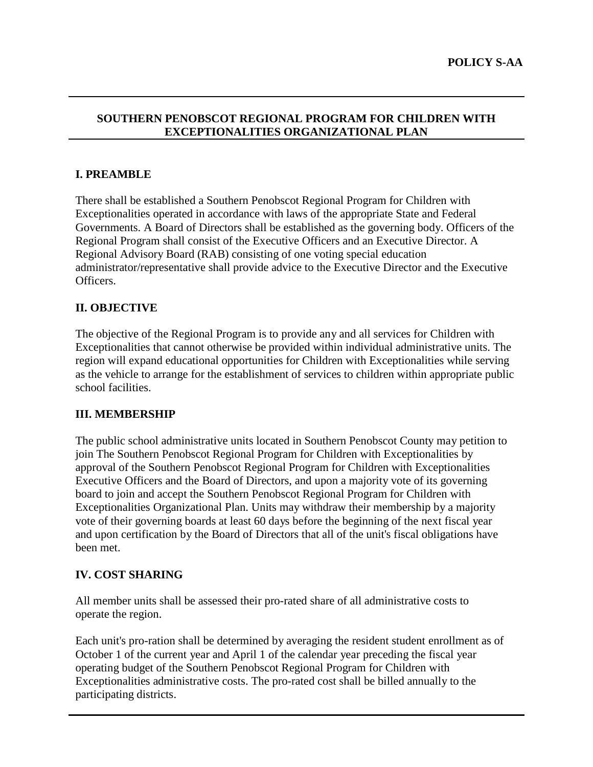# **SOUTHERN PENOBSCOT REGIONAL PROGRAM FOR CHILDREN WITH EXCEPTIONALITIES ORGANIZATIONAL PLAN**

# **I. PREAMBLE**

There shall be established a Southern Penobscot Regional Program for Children with Exceptionalities operated in accordance with laws of the appropriate State and Federal Governments. A Board of Directors shall be established as the governing body. Officers of the Regional Program shall consist of the Executive Officers and an Executive Director. A Regional Advisory Board (RAB) consisting of one voting special education administrator/representative shall provide advice to the Executive Director and the Executive Officers.

# **II. OBJECTIVE**

The objective of the Regional Program is to provide any and all services for Children with Exceptionalities that cannot otherwise be provided within individual administrative units. The region will expand educational opportunities for Children with Exceptionalities while serving as the vehicle to arrange for the establishment of services to children within appropriate public school facilities.

# **III. MEMBERSHIP**

The public school administrative units located in Southern Penobscot County may petition to join The Southern Penobscot Regional Program for Children with Exceptionalities by approval of the Southern Penobscot Regional Program for Children with Exceptionalities Executive Officers and the Board of Directors, and upon a majority vote of its governing board to join and accept the Southern Penobscot Regional Program for Children with Exceptionalities Organizational Plan. Units may withdraw their membership by a majority vote of their governing boards at least 60 days before the beginning of the next fiscal year and upon certification by the Board of Directors that all of the unit's fiscal obligations have been met.

# **IV. COST SHARING**

All member units shall be assessed their pro-rated share of all administrative costs to operate the region.

Each unit's pro-ration shall be determined by averaging the resident student enrollment as of October 1 of the current year and April 1 of the calendar year preceding the fiscal year operating budget of the Southern Penobscot Regional Program for Children with Exceptionalities administrative costs. The pro-rated cost shall be billed annually to the participating districts.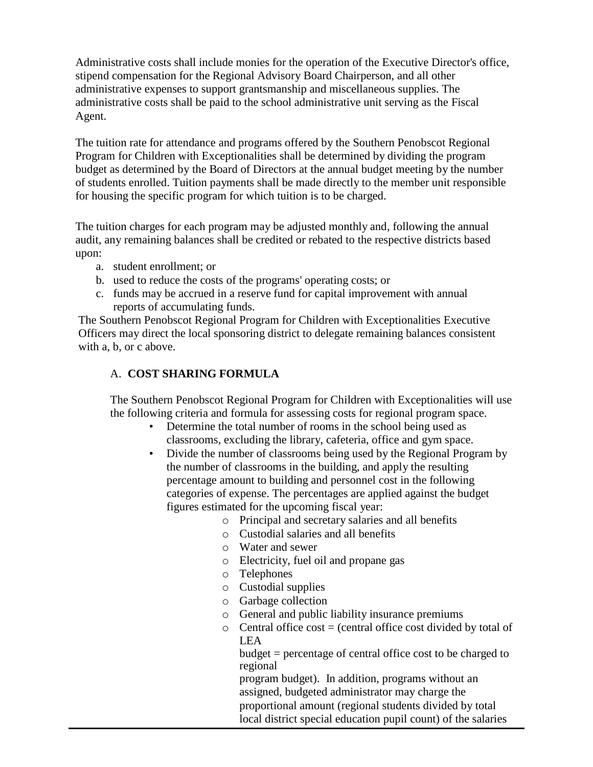Administrative costs shall include monies for the operation of the Executive Director's office, stipend compensation for the Regional Advisory Board Chairperson, and all other administrative expenses to support grantsmanship and miscellaneous supplies. The administrative costs shall be paid to the school administrative unit serving as the Fiscal Agent.

The tuition rate for attendance and programs offered by the Southern Penobscot Regional Program for Children with Exceptionalities shall be determined by dividing the program budget as determined by the Board of Directors at the annual budget meeting by the number of students enrolled. Tuition payments shall be made directly to the member unit responsible for housing the specific program for which tuition is to be charged.

The tuition charges for each program may be adjusted monthly and, following the annual audit, any remaining balances shall be credited or rebated to the respective districts based upon:

- a. student enrollment; or
- b. used to reduce the costs of the programs' operating costs; or
- c. funds may be accrued in a reserve fund for capital improvement with annual reports of accumulating funds.

The Southern Penobscot Regional Program for Children with Exceptionalities Executive Officers may direct the local sponsoring district to delegate remaining balances consistent with a, b, or c above.

# A. **COST SHARING FORMULA**

The Southern Penobscot Regional Program for Children with Exceptionalities will use the following criteria and formula for assessing costs for regional program space.

- Determine the total number of rooms in the school being used as classrooms, excluding the library, cafeteria, office and gym space.
- Divide the number of classrooms being used by the Regional Program by the number of classrooms in the building, and apply the resulting percentage amount to building and personnel cost in the following categories of expense. The percentages are applied against the budget figures estimated for the upcoming fiscal year:
	- o Principal and secretary salaries and all benefits
	- o Custodial salaries and all benefits
	- o Water and sewer
	- o Electricity, fuel oil and propane gas
	- o Telephones
	- o Custodial supplies
	- o Garbage collection
	- o General and public liability insurance premiums
	- $\circ$  Central office cost = (central office cost divided by total of LEA

budget = percentage of central office cost to be charged to regional

program budget). In addition, programs without an assigned, budgeted administrator may charge the proportional amount (regional students divided by total local district special education pupil count) of the salaries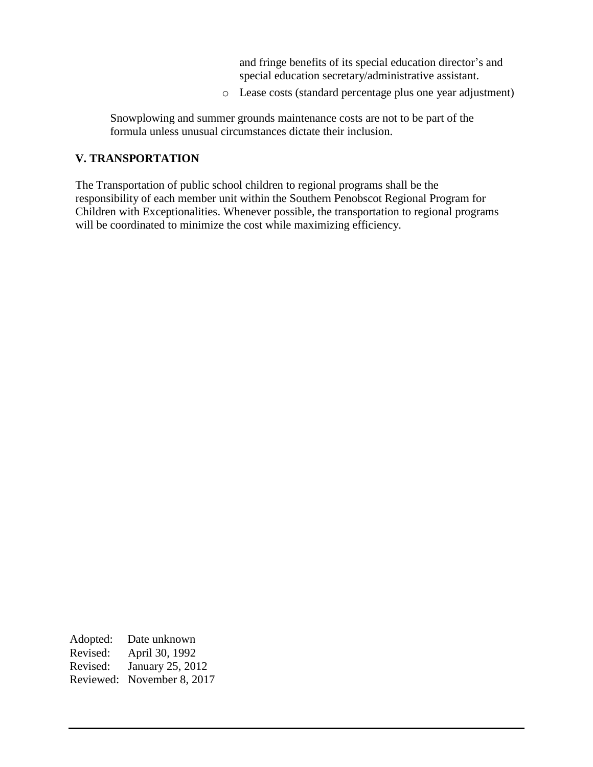and fringe benefits of its special education director's and special education secretary/administrative assistant.

o Lease costs (standard percentage plus one year adjustment)

Snowplowing and summer grounds maintenance costs are not to be part of the formula unless unusual circumstances dictate their inclusion.

# **V. TRANSPORTATION**

The Transportation of public school children to regional programs shall be the responsibility of each member unit within the Southern Penobscot Regional Program for Children with Exceptionalities. Whenever possible, the transportation to regional programs will be coordinated to minimize the cost while maximizing efficiency.

Adopted: Date unknown Revised: April 30, 1992 Revised: January 25, 2012 Reviewed: November 8, 2017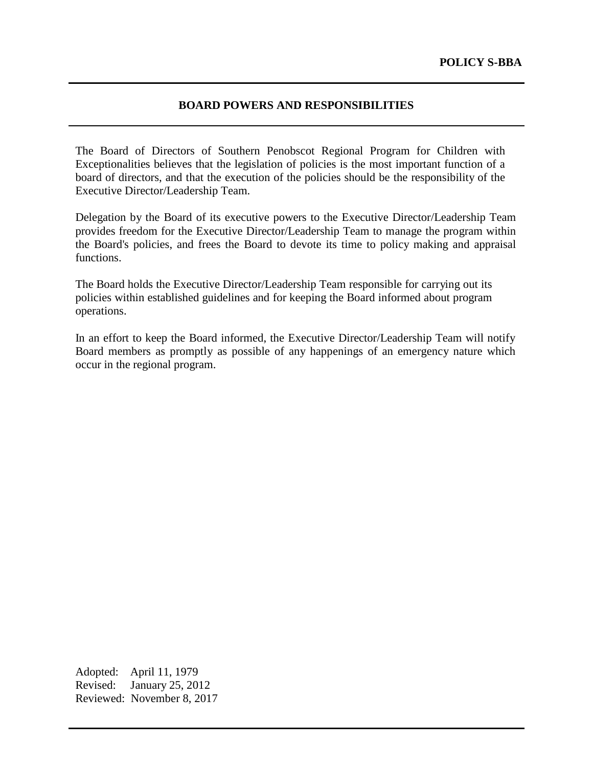#### **BOARD POWERS AND RESPONSIBILITIES**

The Board of Directors of Southern Penobscot Regional Program for Children with Exceptionalities believes that the legislation of policies is the most important function of a board of directors, and that the execution of the policies should be the responsibility of the Executive Director/Leadership Team.

Delegation by the Board of its executive powers to the Executive Director/Leadership Team provides freedom for the Executive Director/Leadership Team to manage the program within the Board's policies, and frees the Board to devote its time to policy making and appraisal functions.

The Board holds the Executive Director/Leadership Team responsible for carrying out its policies within established guidelines and for keeping the Board informed about program operations.

In an effort to keep the Board informed, the Executive Director/Leadership Team will notify Board members as promptly as possible of any happenings of an emergency nature which occur in the regional program.

Adopted: April 11, 1979 Revised: January 25, 2012 Reviewed: November 8, 2017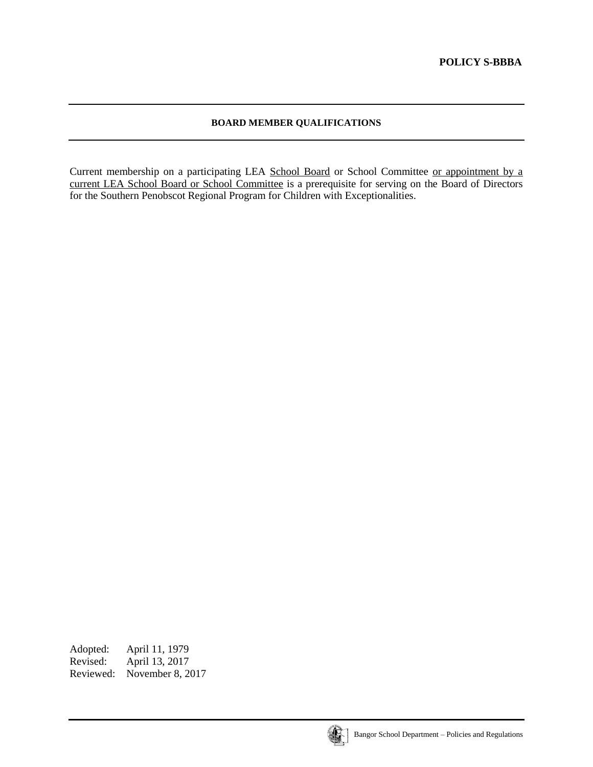### **BOARD MEMBER QUALIFICATIONS**

Current membership on a participating LEA School Board or School Committee or appointment by a current LEA School Board or School Committee is a prerequisite for serving on the Board of Directors for the Southern Penobscot Regional Program for Children with Exceptionalities.

Adopted: April 11, 1979<br>Revised: April 13, 2017 April 13, 2017 Reviewed: November 8, 2017

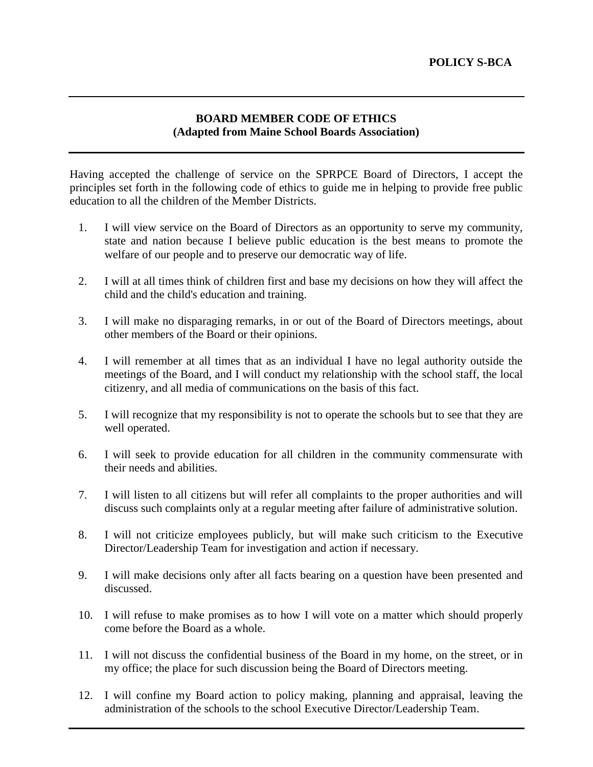# **BOARD MEMBER CODE OF ETHICS (Adapted from Maine School Boards Association)**

Having accepted the challenge of service on the SPRPCE Board of Directors, I accept the principles set forth in the following code of ethics to guide me in helping to provide free public education to all the children of the Member Districts.

- 1. I will view service on the Board of Directors as an opportunity to serve my community, state and nation because I believe public education is the best means to promote the welfare of our people and to preserve our democratic way of life.
- 2. I will at all times think of children first and base my decisions on how they will affect the child and the child's education and training.
- 3. I will make no disparaging remarks, in or out of the Board of Directors meetings, about other members of the Board or their opinions.
- 4. I will remember at all times that as an individual I have no legal authority outside the meetings of the Board, and I will conduct my relationship with the school staff, the local citizenry, and all media of communications on the basis of this fact.
- 5. I will recognize that my responsibility is not to operate the schools but to see that they are well operated.
- 6. I will seek to provide education for all children in the community commensurate with their needs and abilities.
- 7. I will listen to all citizens but will refer all complaints to the proper authorities and will discuss such complaints only at a regular meeting after failure of administrative solution.
- 8. I will not criticize employees publicly, but will make such criticism to the Executive Director/Leadership Team for investigation and action if necessary.
- 9. I will make decisions only after all facts bearing on a question have been presented and discussed.
- 10. I will refuse to make promises as to how I will vote on a matter which should properly come before the Board as a whole.
- 11. I will not discuss the confidential business of the Board in my home, on the street, or in my office; the place for such discussion being the Board of Directors meeting.
- 12. I will confine my Board action to policy making, planning and appraisal, leaving the administration of the schools to the school Executive Director/Leadership Team.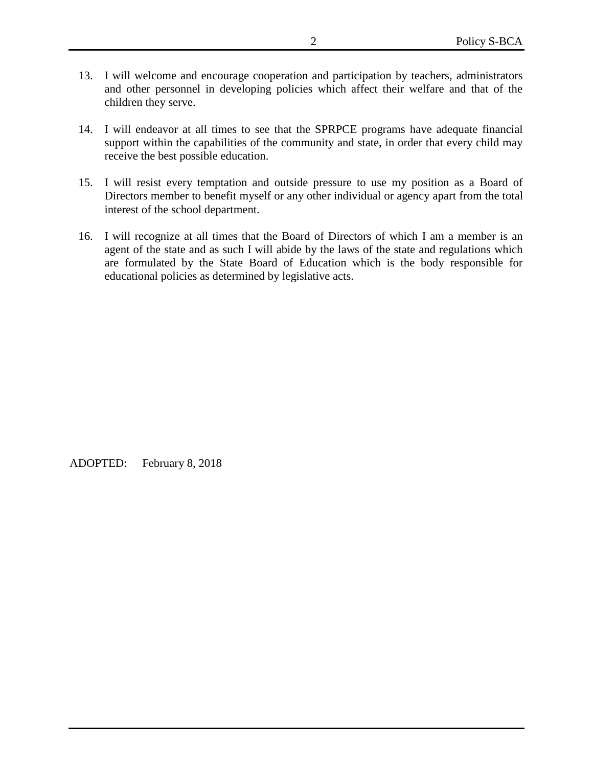- 13. I will welcome and encourage cooperation and participation by teachers, administrators and other personnel in developing policies which affect their welfare and that of the children they serve.
- 14. I will endeavor at all times to see that the SPRPCE programs have adequate financial support within the capabilities of the community and state, in order that every child may receive the best possible education.
- 15. I will resist every temptation and outside pressure to use my position as a Board of Directors member to benefit myself or any other individual or agency apart from the total interest of the school department.
- 16. I will recognize at all times that the Board of Directors of which I am a member is an agent of the state and as such I will abide by the laws of the state and regulations which are formulated by the State Board of Education which is the body responsible for educational policies as determined by legislative acts.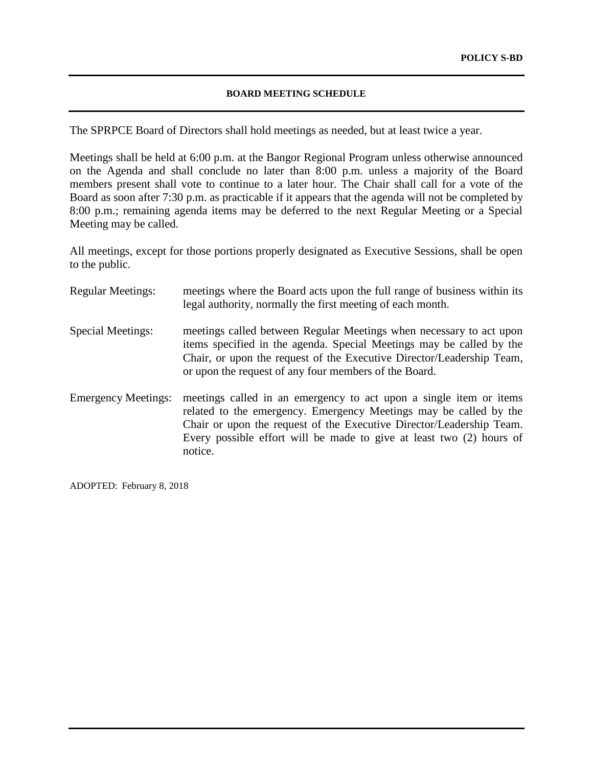#### **BOARD MEETING SCHEDULE**

The SPRPCE Board of Directors shall hold meetings as needed, but at least twice a year.

Meetings shall be held at 6:00 p.m. at the Bangor Regional Program unless otherwise announced on the Agenda and shall conclude no later than 8:00 p.m. unless a majority of the Board members present shall vote to continue to a later hour. The Chair shall call for a vote of the Board as soon after 7:30 p.m. as practicable if it appears that the agenda will not be completed by 8:00 p.m.; remaining agenda items may be deferred to the next Regular Meeting or a Special Meeting may be called.

All meetings, except for those portions properly designated as Executive Sessions, shall be open to the public.

| <b>Regular Meetings:</b>   | meetings where the Board acts upon the full range of business within its<br>legal authority, normally the first meeting of each month.                                                                                                                                                             |
|----------------------------|----------------------------------------------------------------------------------------------------------------------------------------------------------------------------------------------------------------------------------------------------------------------------------------------------|
| Special Meetings:          | meetings called between Regular Meetings when necessary to act upon<br>items specified in the agenda. Special Meetings may be called by the<br>Chair, or upon the request of the Executive Director/Leadership Team,<br>or upon the request of any four members of the Board.                      |
| <b>Emergency Meetings:</b> | meetings called in an emergency to act upon a single item or items<br>related to the emergency. Emergency Meetings may be called by the<br>Chair or upon the request of the Executive Director/Leadership Team.<br>Every possible effort will be made to give at least two (2) hours of<br>notice. |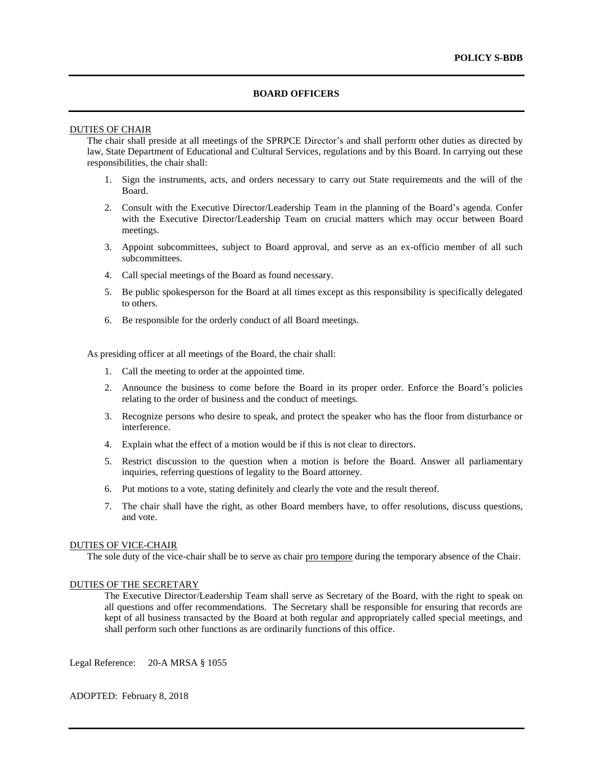#### **BOARD OFFICERS**

#### DUTIES OF CHAIR

The chair shall preside at all meetings of the SPRPCE Director's and shall perform other duties as directed by law, State Department of Educational and Cultural Services, regulations and by this Board. In carrying out these responsibilities, the chair shall:

- 1. Sign the instruments, acts, and orders necessary to carry out State requirements and the will of the Board.
- 2. Consult with the Executive Director/Leadership Team in the planning of the Board's agenda. Confer with the Executive Director/Leadership Team on crucial matters which may occur between Board meetings.
- 3. Appoint subcommittees, subject to Board approval, and serve as an ex-officio member of all such subcommittees.
- 4. Call special meetings of the Board as found necessary.
- 5. Be public spokesperson for the Board at all times except as this responsibility is specifically delegated to others.
- 6. Be responsible for the orderly conduct of all Board meetings.

As presiding officer at all meetings of the Board, the chair shall:

- 1. Call the meeting to order at the appointed time.
- 2. Announce the business to come before the Board in its proper order. Enforce the Board's policies relating to the order of business and the conduct of meetings.
- 3. Recognize persons who desire to speak, and protect the speaker who has the floor from disturbance or interference.
- 4. Explain what the effect of a motion would be if this is not clear to directors.
- 5. Restrict discussion to the question when a motion is before the Board. Answer all parliamentary inquiries, referring questions of legality to the Board attorney.
- 6. Put motions to a vote, stating definitely and clearly the vote and the result thereof.
- 7. The chair shall have the right, as other Board members have, to offer resolutions, discuss questions, and vote.

#### DUTIES OF VICE-CHAIR

The sole duty of the vice-chair shall be to serve as chair pro tempore during the temporary absence of the Chair.

#### DUTIES OF THE SECRETARY

The Executive Director/Leadership Team shall serve as Secretary of the Board, with the right to speak on all questions and offer recommendations. The Secretary shall be responsible for ensuring that records are kept of all business transacted by the Board at both regular and appropriately called special meetings, and shall perform such other functions as are ordinarily functions of this office.

Legal Reference: 20-A MRSA § 1055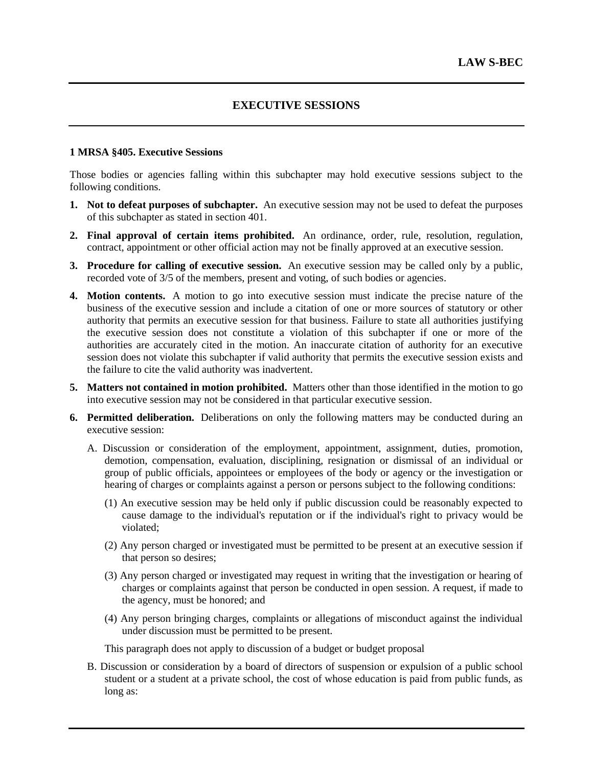# **EXECUTIVE SESSIONS**

#### **1 MRSA §405. Executive Sessions**

Those bodies or agencies falling within this subchapter may hold executive sessions subject to the following conditions.

- **1. Not to defeat purposes of subchapter.** An executive session may not be used to defeat the purposes of this subchapter as stated in section 401.
- **2. Final approval of certain items prohibited.** An ordinance, order, rule, resolution, regulation, contract, appointment or other official action may not be finally approved at an executive session.
- **3. Procedure for calling of executive session.** An executive session may be called only by a public, recorded vote of 3/5 of the members, present and voting, of such bodies or agencies.
- **4. Motion contents.** A motion to go into executive session must indicate the precise nature of the business of the executive session and include a citation of one or more sources of statutory or other authority that permits an executive session for that business. Failure to state all authorities justifying the executive session does not constitute a violation of this subchapter if one or more of the authorities are accurately cited in the motion. An inaccurate citation of authority for an executive session does not violate this subchapter if valid authority that permits the executive session exists and the failure to cite the valid authority was inadvertent.
- **5. Matters not contained in motion prohibited.** Matters other than those identified in the motion to go into executive session may not be considered in that particular executive session.
- **6. Permitted deliberation.** Deliberations on only the following matters may be conducted during an executive session:
	- A. Discussion or consideration of the employment, appointment, assignment, duties, promotion, demotion, compensation, evaluation, disciplining, resignation or dismissal of an individual or group of public officials, appointees or employees of the body or agency or the investigation or hearing of charges or complaints against a person or persons subject to the following conditions:
		- (1) An executive session may be held only if public discussion could be reasonably expected to cause damage to the individual's reputation or if the individual's right to privacy would be violated;
		- (2) Any person charged or investigated must be permitted to be present at an executive session if that person so desires;
		- (3) Any person charged or investigated may request in writing that the investigation or hearing of charges or complaints against that person be conducted in open session. A request, if made to the agency, must be honored; and
		- (4) Any person bringing charges, complaints or allegations of misconduct against the individual under discussion must be permitted to be present.

This paragraph does not apply to discussion of a budget or budget proposal

B. Discussion or consideration by a board of directors of suspension or expulsion of a public school student or a student at a private school, the cost of whose education is paid from public funds, as long as: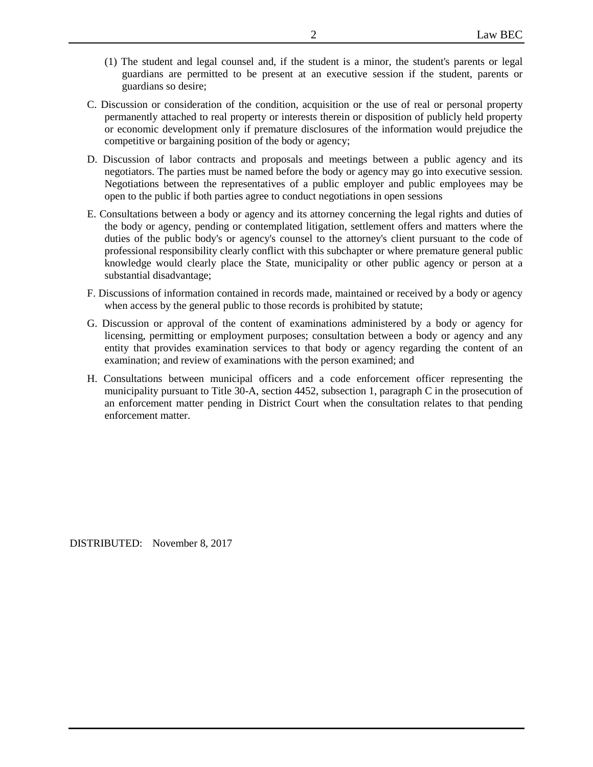- (1) The student and legal counsel and, if the student is a minor, the student's parents or legal guardians are permitted to be present at an executive session if the student, parents or guardians so desire;
- C. Discussion or consideration of the condition, acquisition or the use of real or personal property permanently attached to real property or interests therein or disposition of publicly held property or economic development only if premature disclosures of the information would prejudice the competitive or bargaining position of the body or agency;
- D. Discussion of labor contracts and proposals and meetings between a public agency and its negotiators. The parties must be named before the body or agency may go into executive session. Negotiations between the representatives of a public employer and public employees may be open to the public if both parties agree to conduct negotiations in open sessions
- E. Consultations between a body or agency and its attorney concerning the legal rights and duties of the body or agency, pending or contemplated litigation, settlement offers and matters where the duties of the public body's or agency's counsel to the attorney's client pursuant to the code of professional responsibility clearly conflict with this subchapter or where premature general public knowledge would clearly place the State, municipality or other public agency or person at a substantial disadvantage;
- F. Discussions of information contained in records made, maintained or received by a body or agency when access by the general public to those records is prohibited by statute;
- G. Discussion or approval of the content of examinations administered by a body or agency for licensing, permitting or employment purposes; consultation between a body or agency and any entity that provides examination services to that body or agency regarding the content of an examination; and review of examinations with the person examined; and
- H. Consultations between municipal officers and a code enforcement officer representing the municipality pursuant to Title 30-A, section 4452, subsection 1, paragraph C in the prosecution of an enforcement matter pending in District Court when the consultation relates to that pending enforcement matter.

DISTRIBUTED: November 8, 2017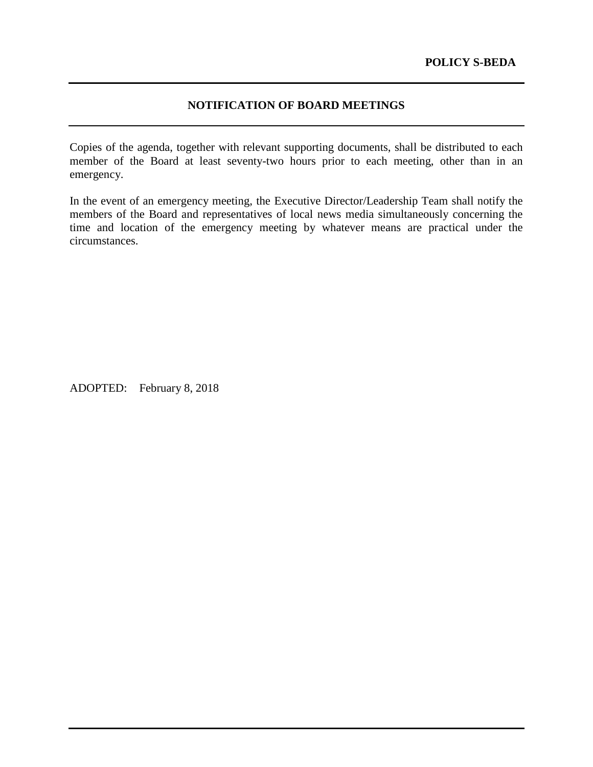# **NOTIFICATION OF BOARD MEETINGS**

Copies of the agenda, together with relevant supporting documents, shall be distributed to each member of the Board at least seventy-two hours prior to each meeting, other than in an emergency.

In the event of an emergency meeting, the Executive Director/Leadership Team shall notify the members of the Board and representatives of local news media simultaneously concerning the time and location of the emergency meeting by whatever means are practical under the circumstances.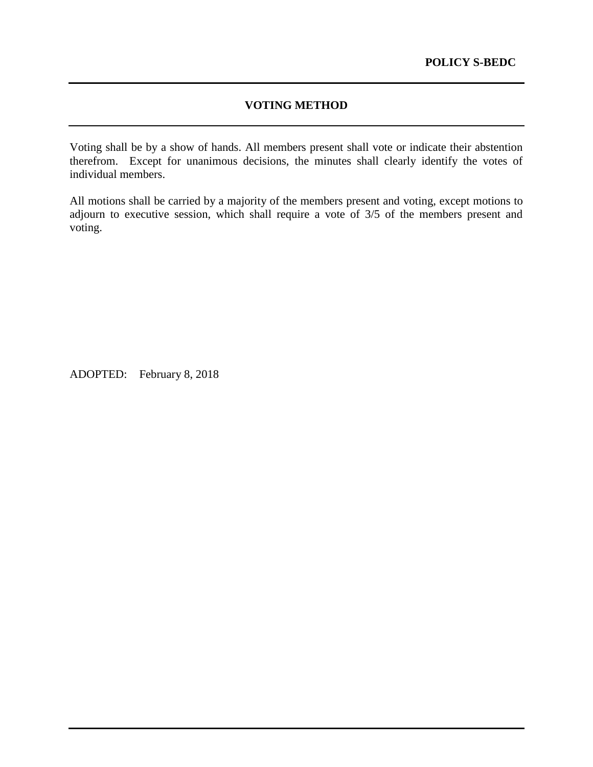# **VOTING METHOD**

Voting shall be by a show of hands. All members present shall vote or indicate their abstention therefrom. Except for unanimous decisions, the minutes shall clearly identify the votes of individual members.

All motions shall be carried by a majority of the members present and voting, except motions to adjourn to executive session, which shall require a vote of 3/5 of the members present and voting.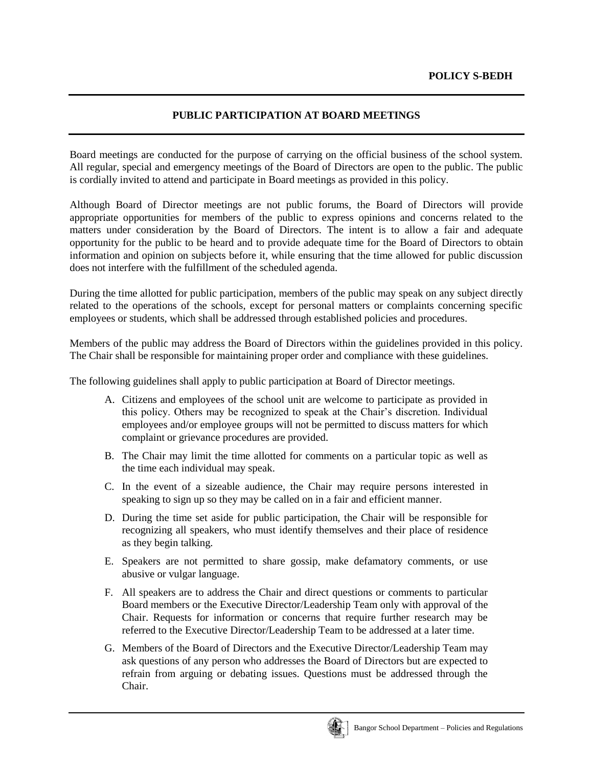# **PUBLIC PARTICIPATION AT BOARD MEETINGS**

Board meetings are conducted for the purpose of carrying on the official business of the school system. All regular, special and emergency meetings of the Board of Directors are open to the public. The public is cordially invited to attend and participate in Board meetings as provided in this policy.

Although Board of Director meetings are not public forums, the Board of Directors will provide appropriate opportunities for members of the public to express opinions and concerns related to the matters under consideration by the Board of Directors. The intent is to allow a fair and adequate opportunity for the public to be heard and to provide adequate time for the Board of Directors to obtain information and opinion on subjects before it, while ensuring that the time allowed for public discussion does not interfere with the fulfillment of the scheduled agenda.

During the time allotted for public participation, members of the public may speak on any subject directly related to the operations of the schools, except for personal matters or complaints concerning specific employees or students, which shall be addressed through established policies and procedures.

Members of the public may address the Board of Directors within the guidelines provided in this policy. The Chair shall be responsible for maintaining proper order and compliance with these guidelines.

The following guidelines shall apply to public participation at Board of Director meetings.

- A. Citizens and employees of the school unit are welcome to participate as provided in this policy. Others may be recognized to speak at the Chair's discretion. Individual employees and/or employee groups will not be permitted to discuss matters for which complaint or grievance procedures are provided.
- B. The Chair may limit the time allotted for comments on a particular topic as well as the time each individual may speak.
- C. In the event of a sizeable audience, the Chair may require persons interested in speaking to sign up so they may be called on in a fair and efficient manner.
- D. During the time set aside for public participation, the Chair will be responsible for recognizing all speakers, who must identify themselves and their place of residence as they begin talking.
- E. Speakers are not permitted to share gossip, make defamatory comments, or use abusive or vulgar language.
- F. All speakers are to address the Chair and direct questions or comments to particular Board members or the Executive Director/Leadership Team only with approval of the Chair. Requests for information or concerns that require further research may be referred to the Executive Director/Leadership Team to be addressed at a later time.
- G. Members of the Board of Directors and the Executive Director/Leadership Team may ask questions of any person who addresses the Board of Directors but are expected to refrain from arguing or debating issues. Questions must be addressed through the Chair.

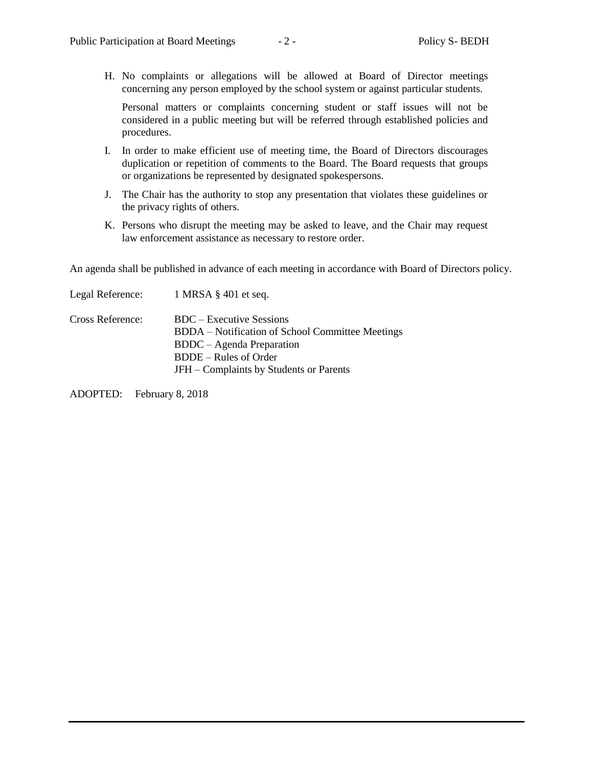H. No complaints or allegations will be allowed at Board of Director meetings concerning any person employed by the school system or against particular students.

Personal matters or complaints concerning student or staff issues will not be considered in a public meeting but will be referred through established policies and procedures.

- I. In order to make efficient use of meeting time, the Board of Directors discourages duplication or repetition of comments to the Board. The Board requests that groups or organizations be represented by designated spokespersons.
- J. The Chair has the authority to stop any presentation that violates these guidelines or the privacy rights of others.
- K. Persons who disrupt the meeting may be asked to leave, and the Chair may request law enforcement assistance as necessary to restore order.

An agenda shall be published in advance of each meeting in accordance with Board of Directors policy.

|                  | Legal Reference: $1 \text{ MRSA } \S 401$ et seq. |
|------------------|---------------------------------------------------|
| Cross Reference: | BDC – Executive Sessions                          |
|                  | BDDA – Notification of School Committee Meetings  |
|                  | BDDC – Agenda Preparation                         |
|                  | <b>BDDE</b> – Rules of Order                      |
|                  | JFH – Complaints by Students or Parents           |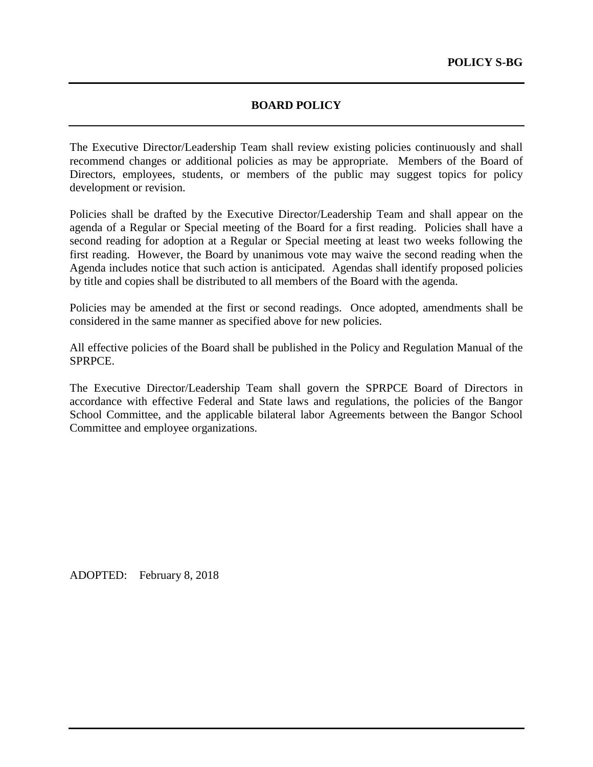# **BOARD POLICY**

The Executive Director/Leadership Team shall review existing policies continuously and shall recommend changes or additional policies as may be appropriate. Members of the Board of Directors, employees, students, or members of the public may suggest topics for policy development or revision.

Policies shall be drafted by the Executive Director/Leadership Team and shall appear on the agenda of a Regular or Special meeting of the Board for a first reading. Policies shall have a second reading for adoption at a Regular or Special meeting at least two weeks following the first reading. However, the Board by unanimous vote may waive the second reading when the Agenda includes notice that such action is anticipated. Agendas shall identify proposed policies by title and copies shall be distributed to all members of the Board with the agenda.

Policies may be amended at the first or second readings. Once adopted, amendments shall be considered in the same manner as specified above for new policies.

All effective policies of the Board shall be published in the Policy and Regulation Manual of the SPRPCE.

The Executive Director/Leadership Team shall govern the SPRPCE Board of Directors in accordance with effective Federal and State laws and regulations, the policies of the Bangor School Committee, and the applicable bilateral labor Agreements between the Bangor School Committee and employee organizations.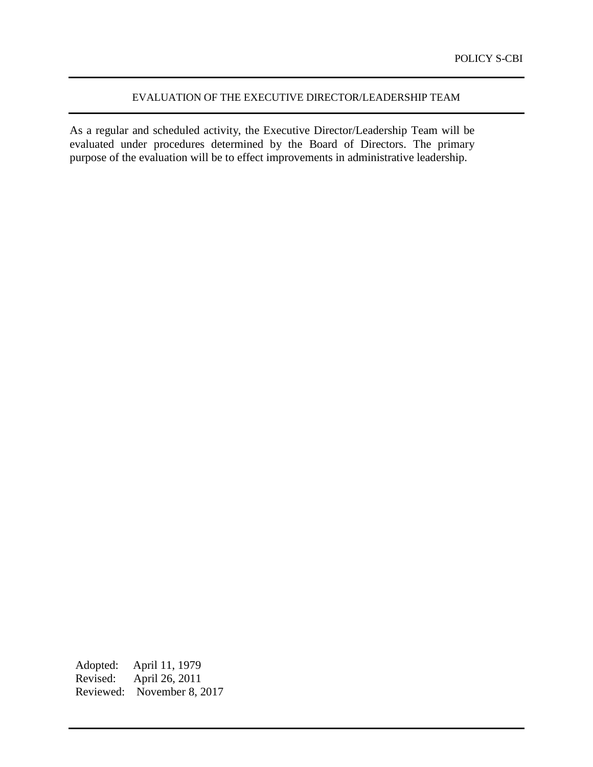# EVALUATION OF THE EXECUTIVE DIRECTOR/LEADERSHIP TEAM

As a regular and scheduled activity, the Executive Director/Leadership Team will be evaluated under procedures determined by the Board of Directors. The primary purpose of the evaluation will be to effect improvements in administrative leadership.

Adopted: April 11, 1979 Revised: April 26, 2011 Reviewed: November 8, 2017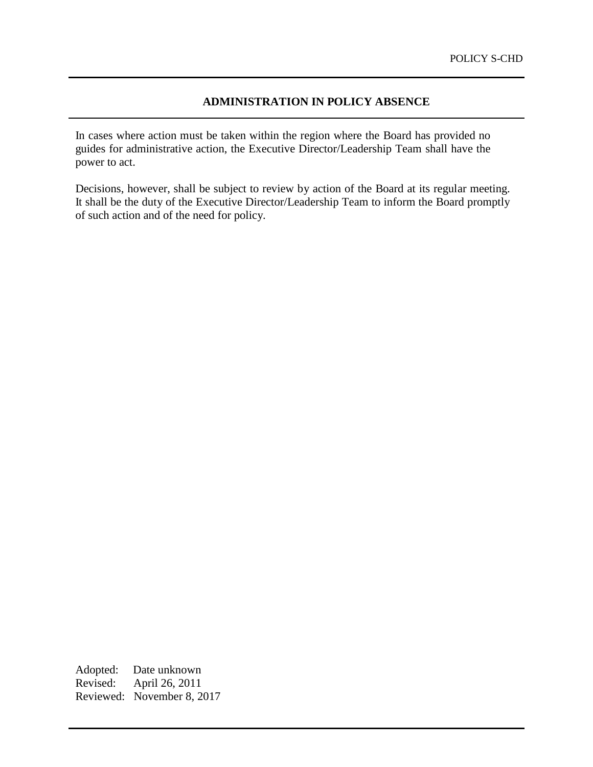# **ADMINISTRATION IN POLICY ABSENCE**

In cases where action must be taken within the region where the Board has provided no guides for administrative action, the Executive Director/Leadership Team shall have the power to act.

Decisions, however, shall be subject to review by action of the Board at its regular meeting. It shall be the duty of the Executive Director/Leadership Team to inform the Board promptly of such action and of the need for policy.

Adopted: Date unknown Revised: April 26, 2011 Reviewed: November 8, 2017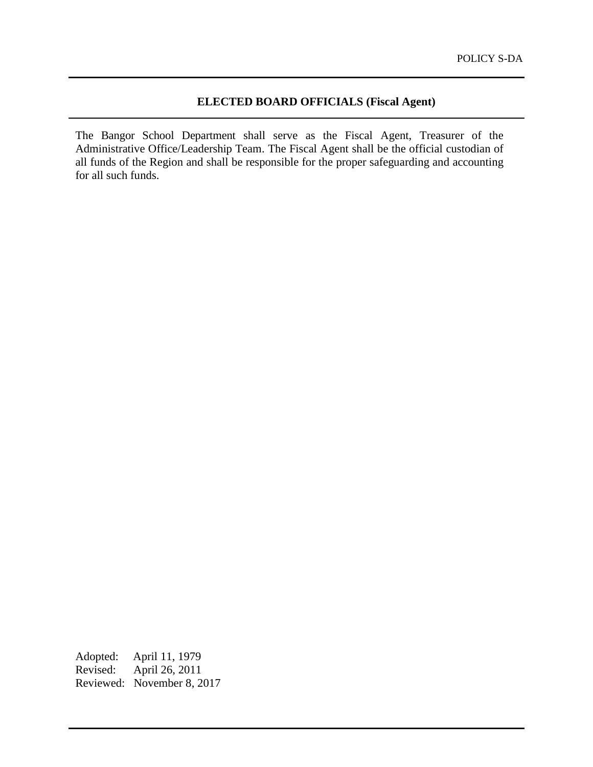# **ELECTED BOARD OFFICIALS (Fiscal Agent)**

The Bangor School Department shall serve as the Fiscal Agent, Treasurer of the Administrative Office/Leadership Team. The Fiscal Agent shall be the official custodian of all funds of the Region and shall be responsible for the proper safeguarding and accounting for all such funds.

Adopted: April 11, 1979 Revised: April 26, 2011 Reviewed: November 8, 2017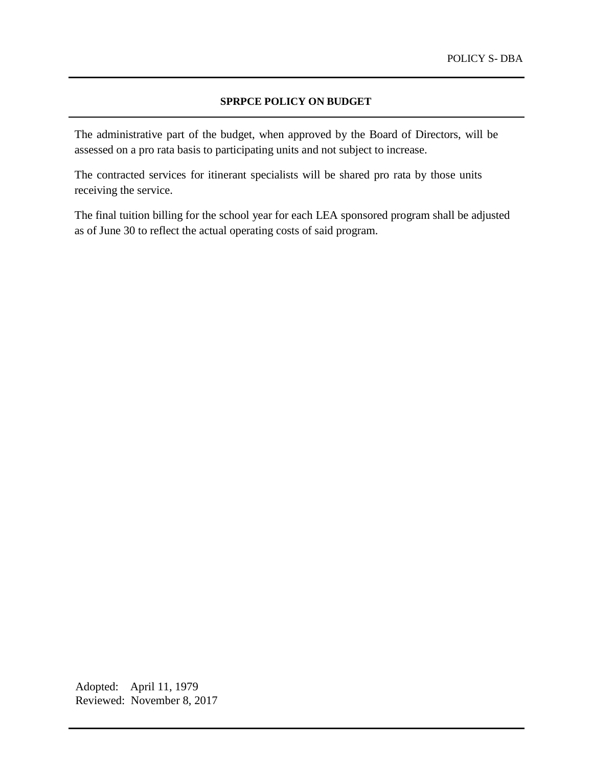#### **SPRPCE POLICY ON BUDGET**

The administrative part of the budget, when approved by the Board of Directors, will be assessed on a pro rata basis to participating units and not subject to increase.

The contracted services for itinerant specialists will be shared pro rata by those units receiving the service.

The final tuition billing for the school year for each LEA sponsored program shall be adjusted as of June 30 to reflect the actual operating costs of said program.

Adopted: April 11, 1979 Reviewed: November 8, 2017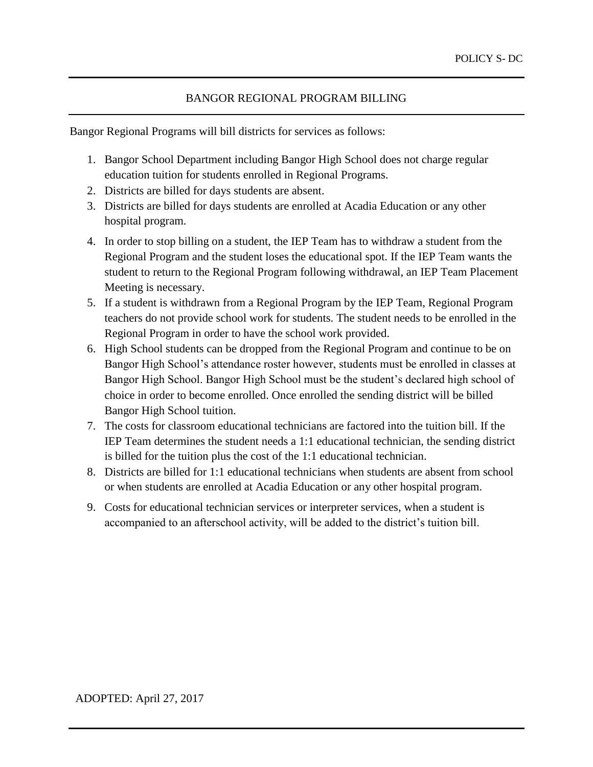# BANGOR REGIONAL PROGRAM BILLING

Bangor Regional Programs will bill districts for services as follows:

- 1. Bangor School Department including Bangor High School does not charge regular education tuition for students enrolled in Regional Programs.
- 2. Districts are billed for days students are absent.
- 3. Districts are billed for days students are enrolled at Acadia Education or any other hospital program.
- 4. In order to stop billing on a student, the IEP Team has to withdraw a student from the Regional Program and the student loses the educational spot. If the IEP Team wants the student to return to the Regional Program following withdrawal, an IEP Team Placement Meeting is necessary.
- 5. If a student is withdrawn from a Regional Program by the IEP Team, Regional Program teachers do not provide school work for students. The student needs to be enrolled in the Regional Program in order to have the school work provided.
- 6. High School students can be dropped from the Regional Program and continue to be on Bangor High School's attendance roster however, students must be enrolled in classes at Bangor High School. Bangor High School must be the student's declared high school of choice in order to become enrolled. Once enrolled the sending district will be billed Bangor High School tuition.
- 7. The costs for classroom educational technicians are factored into the tuition bill. If the IEP Team determines the student needs a 1:1 educational technician, the sending district is billed for the tuition plus the cost of the 1:1 educational technician.
- 8. Districts are billed for 1:1 educational technicians when students are absent from school or when students are enrolled at Acadia Education or any other hospital program.
- 9. Costs for educational technician services or interpreter services, when a student is accompanied to an afterschool activity, will be added to the district's tuition bill.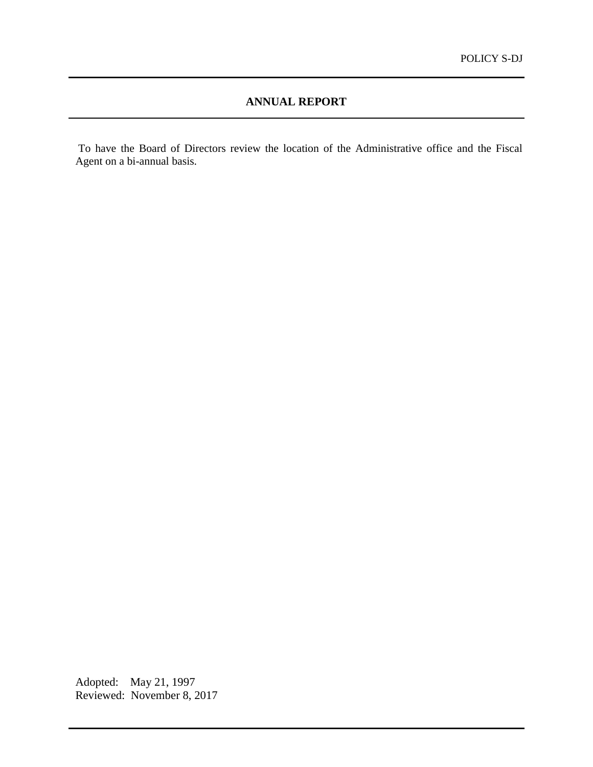# **ANNUAL REPORT**

To have the Board of Directors review the location of the Administrative office and the Fiscal Agent on a bi-annual basis.

Adopted: May 21, 1997 Reviewed: November 8, 2017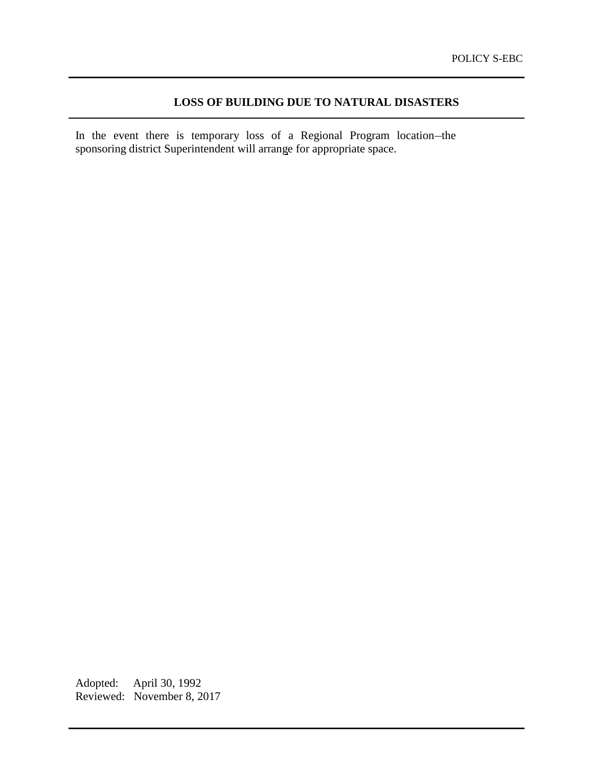# **LOSS OF BUILDING DUE TO NATURAL DISASTERS**

In the event there is temporary loss of a Regional Program location-the sponsoring district Superintendent will arrange for appropriate space.

Adopted: April 30, 1992 Reviewed: November 8, 2017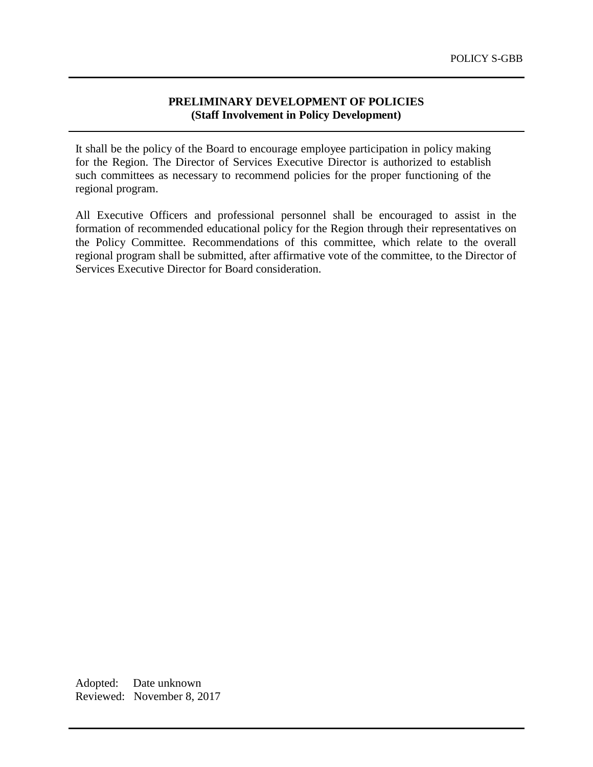### **PRELIMINARY DEVELOPMENT OF POLICIES (Staff Involvement in Policy Development)**

It shall be the policy of the Board to encourage employee participation in policy making for the Region. The Director of Services Executive Director is authorized to establish such committees as necessary to recommend policies for the proper functioning of the regional program.

All Executive Officers and professional personnel shall be encouraged to assist in the formation of recommended educational policy for the Region through their representatives on the Policy Committee. Recommendations of this committee, which relate to the overall regional program shall be submitted, after affirmative vote of the committee, to the Director of Services Executive Director for Board consideration.

Adopted: Date unknown Reviewed: November 8, 2017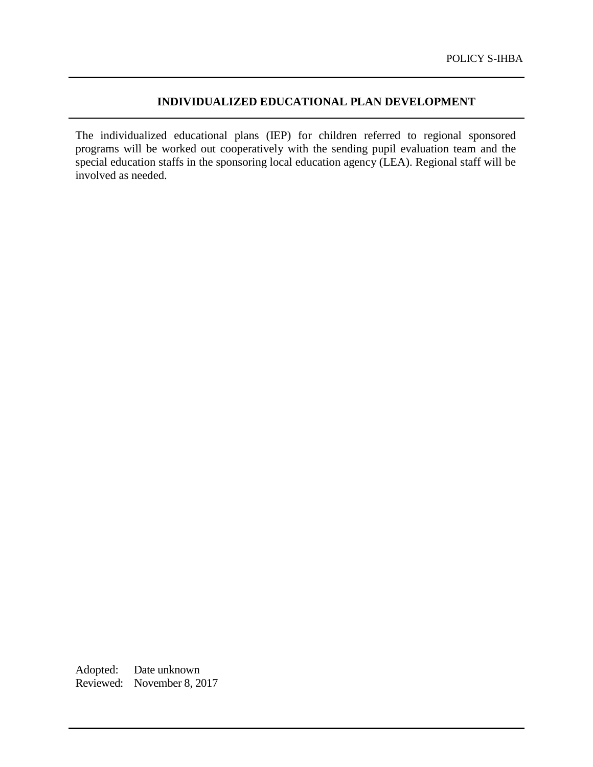# **INDIVIDUALIZED EDUCATIONAL PLAN DEVELOPMENT**

The individualized educational plans (IEP) for children referred to regional sponsored programs will be worked out cooperatively with the sending pupil evaluation team and the special education staffs in the sponsoring local education agency (LEA). Regional staff will be involved as needed.

Adopted: Date unknown Reviewed: November 8, 2017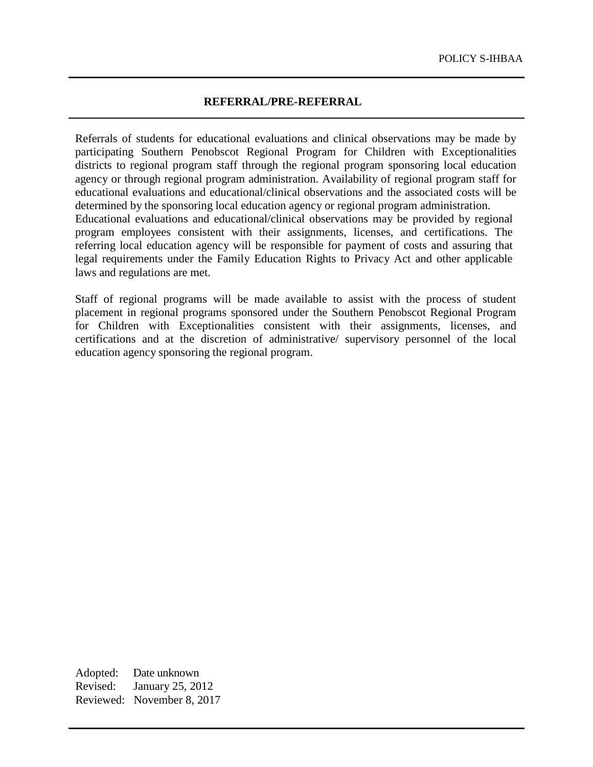### **REFERRAL/PRE-REFERRAL**

Referrals of students for educational evaluations and clinical observations may be made by participating Southern Penobscot Regional Program for Children with Exceptionalities districts to regional program staff through the regional program sponsoring local education agency or through regional program administration. Availability of regional program staff for educational evaluations and educational/clinical observations and the associated costs will be determined by the sponsoring local education agency or regional program administration. Educational evaluations and educational/clinical observations may be provided by regional program employees consistent with their assignments, licenses, and certifications. The referring local education agency will be responsible for payment of costs and assuring that legal requirements under the Family Education Rights to Privacy Act and other applicable laws and regulations are met.

Staff of regional programs will be made available to assist with the process of student placement in regional programs sponsored under the Southern Penobscot Regional Program for Children with Exceptionalities consistent with their assignments, licenses, and certifications and at the discretion of administrative/ supervisory personnel of the local education agency sponsoring the regional program.

Adopted: Date unknown Revised: January 25, 2012 Reviewed: November 8, 2017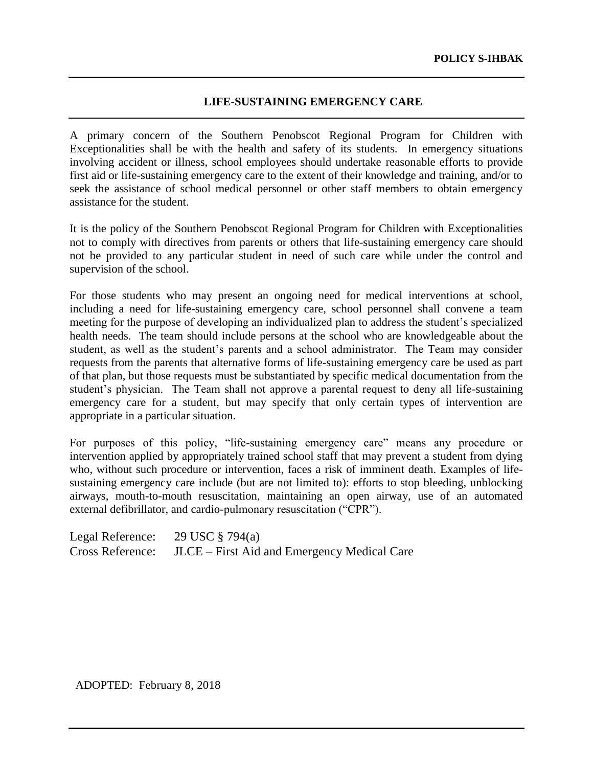### **LIFE-SUSTAINING EMERGENCY CARE**

A primary concern of the Southern Penobscot Regional Program for Children with Exceptionalities shall be with the health and safety of its students. In emergency situations involving accident or illness, school employees should undertake reasonable efforts to provide first aid or life-sustaining emergency care to the extent of their knowledge and training, and/or to seek the assistance of school medical personnel or other staff members to obtain emergency assistance for the student.

It is the policy of the Southern Penobscot Regional Program for Children with Exceptionalities not to comply with directives from parents or others that life-sustaining emergency care should not be provided to any particular student in need of such care while under the control and supervision of the school.

For those students who may present an ongoing need for medical interventions at school, including a need for life-sustaining emergency care, school personnel shall convene a team meeting for the purpose of developing an individualized plan to address the student's specialized health needs. The team should include persons at the school who are knowledgeable about the student, as well as the student's parents and a school administrator. The Team may consider requests from the parents that alternative forms of life-sustaining emergency care be used as part of that plan, but those requests must be substantiated by specific medical documentation from the student's physician. The Team shall not approve a parental request to deny all life-sustaining emergency care for a student, but may specify that only certain types of intervention are appropriate in a particular situation.

For purposes of this policy, "life-sustaining emergency care" means any procedure or intervention applied by appropriately trained school staff that may prevent a student from dying who, without such procedure or intervention, faces a risk of imminent death. Examples of lifesustaining emergency care include (but are not limited to): efforts to stop bleeding, unblocking airways, mouth-to-mouth resuscitation, maintaining an open airway, use of an automated external defibrillator, and cardio-pulmonary resuscitation ("CPR").

Legal Reference: 29 USC § 794(a) Cross Reference: JLCE – First Aid and Emergency Medical Care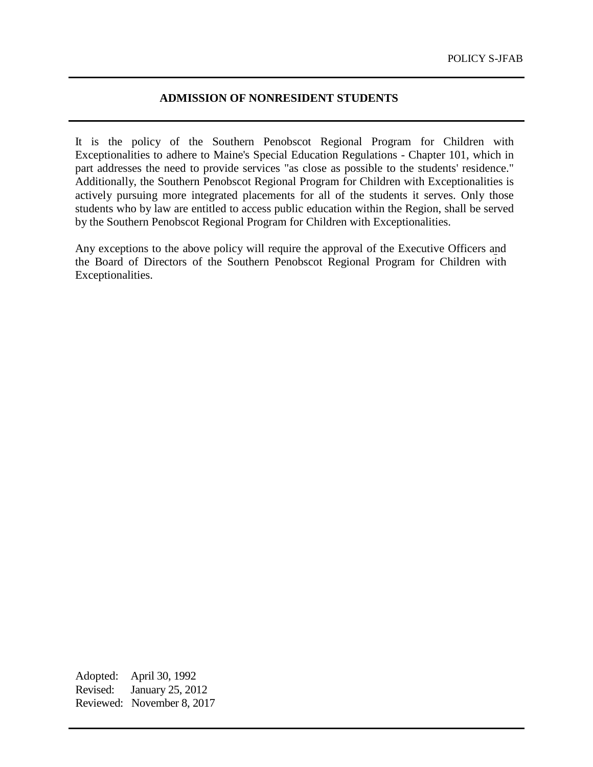# **ADMISSION OF NONRESIDENT STUDENTS**

It is the policy of the Southern Penobscot Regional Program for Children with Exceptionalities to adhere to Maine's Special Education Regulations - Chapter 101, which in part addresses the need to provide services "as close as possible to the students' residence." Additionally, the Southern Penobscot Regional Program for Children with Exceptionalities is actively pursuing more integrated placements for all of the students it serves. Only those students who by law are entitled to access public education within the Region, shall be served by the Southern Penobscot Regional Program for Children with Exceptionalities.

Any exceptions to the above policy will require the approval of the Executive Officers and the Board of Directors of the Southern Penobscot Regional Program for Children with Exceptionalities.

Adopted: April 30, 1992 Revised: January 25, 2012 Reviewed: November 8, 2017